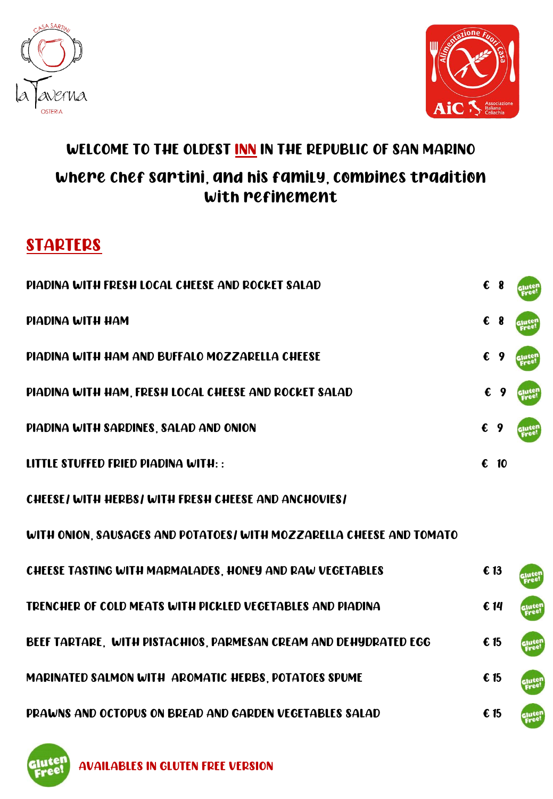



## WELCOME TO THE OLDEST INN IN THE REPUBLIC OF SAN MARINO where Chef Sartini, and his family, combines tradition with refinement

## **STARTERS**

| <b>PIADINA WITH FRESH LOCAL CHEESE AND ROCKET SALAD</b>              |            | $\epsilon$ 8  |                |
|----------------------------------------------------------------------|------------|---------------|----------------|
| PIADINA WITH HAM                                                     | €          | 8             |                |
| PIADINA WITH HAM AND BUFFALO MOZZARELLA CHEESE                       | €          |               |                |
| PIADINA WITH HAM, FRESH LOCAL CHEESE AND ROCKET SALAD                | €          |               |                |
| PIADINA WITH SARDINES, SALAD AND ONION                               |            | $\epsilon$ 9  |                |
| LITTLE STUFFED FRIED PIADINA WITH::                                  | $\epsilon$ | 10            |                |
| CHEESE/ WITH HERBS/ WITH FRESH CHEESE AND ANCHOVIES/                 |            |               |                |
| WITH ONION, SAUSAGES AND POTATOES/ WITH MOZZARELLA CHEESE AND TOMATO |            |               |                |
| CHEESE TASTING WITH MARMALADES, HONEY AND RAW VEGETABLES             |            | € 13          |                |
| TRENCHER OF COLD MEATS WITH PICKLED VEGETABLES AND PIADINA           |            | € 14          |                |
| BEEF TARTARE, WITH PISTACHIOS, PARMESAN CREAM AND DEHYDRATED EGG     |            | 615           | Glutei<br>Free |
| MARINATED SALMON WITH AROMATIC HERBS, POTATOES SPUME                 |            | $\epsilon$ 15 | ajutel<br>Eree |
| PRAWNS AND OCTOPUS ON BREAD AND GARDEN VEGETABLES SALAD              |            | € 15          |                |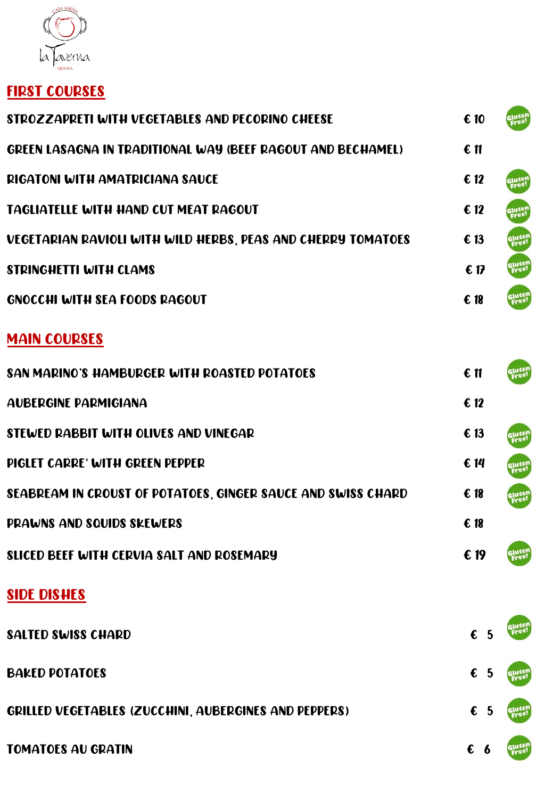

## FIRST COURSES

| STROZZAPRETI WITH VEGETABLES AND PECORINO CHEESE             | € 10            |                 |
|--------------------------------------------------------------|-----------------|-----------------|
| GREEN LASAGNA IN TRADITIONAL WAY (BEEF RAGOUT AND BECHAMEL)  | 611             |                 |
| <b>RIGATONI WITH AMATRICIANA SAUCE</b>                       | $\epsilon$ 12   | slute!<br>Free! |
| <b>TAGLIATELLE WITH HAND CUT MEAT RAGOUT</b>                 | $\epsilon$ 12   | gjutel<br>Free  |
| VEGETARIAN RAVIOLI WITH WILD HERBS, PEAS AND CHERRY TOMATOES | $\epsilon$ 13   | Glute           |
| <b>STRINGHETTI WITH CLAMS</b>                                | 617             | Glute           |
| <b>GNOCCHI WITH SEA FOODS RAGOUT</b>                         | $\epsilon$ 18   | Glute           |
| <b>MAIN COURSES</b>                                          |                 |                 |
| SAN MARINO'S HAMBURGER WITH ROASTED POTATOES                 | $\epsilon$ 11   | Glute<br>Free   |
| <b>AUBERGINE PARMIGIANA</b>                                  | $\epsilon$ 12   |                 |
| STEWED RABBIT WITH OLIVES AND VINEGAR                        | € 13            | Glute           |
| PIGLET CARRE' WITH GREEN PEPPER                              | $\epsilon$ 14   | Glute<br>Free   |
| SEABREAM IN CROUST OF POTATOES, GINGER SAUCE AND SWISS CHARD | $\epsilon$ 18   | Glute<br>Free   |
| <b>PRAWNS AND SQUIDS SKEWERS</b>                             | $\epsilon$ 18   |                 |
| SLICED BEEF WITH CERVIA SALT AND ROSEMARY                    | € 19            | gjute<br>Free   |
| <b>SIDE DISHES</b>                                           |                 |                 |
| <b>SALTED SWISS CHARD</b>                                    | $\epsilon$<br>5 |                 |
| <b>BAKED POTATOES</b>                                        | $\epsilon$ 5    |                 |
| GRILLED VEGETABLES (ZUCCHINI, AUBERGINES AND PEPPERS)        | $\epsilon$ 5    |                 |
| <b>TOMATOES AU GRATIN</b>                                    | $\epsilon$ 6    |                 |
|                                                              |                 |                 |